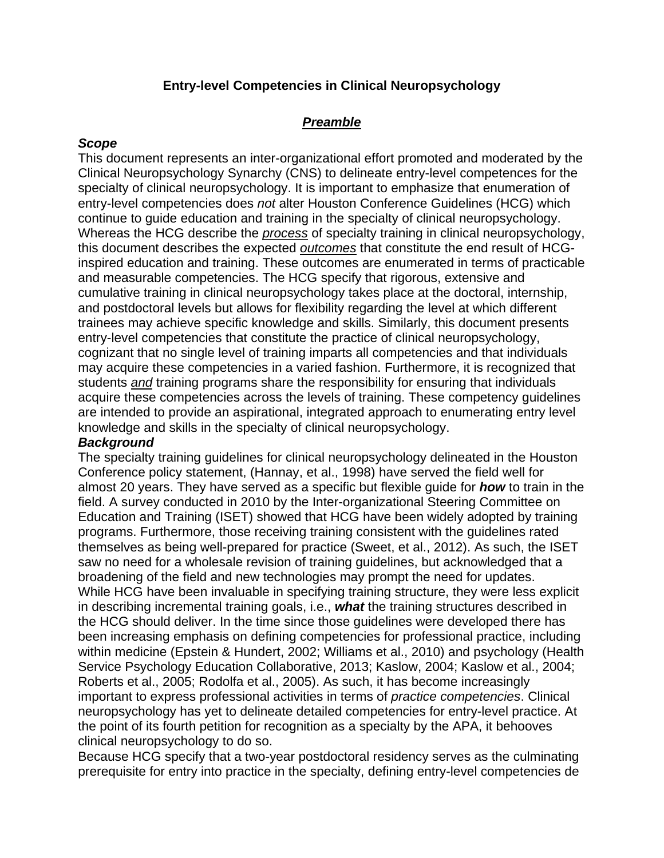# **Entry-level Competencies in Clinical Neuropsychology**

# *Preamble*

#### *Scope*

This document represents an inter-organizational effort promoted and moderated by the Clinical Neuropsychology Synarchy (CNS) to delineate entry-level competences for the specialty of clinical neuropsychology. It is important to emphasize that enumeration of entry-level competencies does *not* alter Houston Conference Guidelines (HCG) which continue to guide education and training in the specialty of clinical neuropsychology. Whereas the HCG describe the *process* of specialty training in clinical neuropsychology, this document describes the expected *outcomes* that constitute the end result of HCGinspired education and training. These outcomes are enumerated in terms of practicable and measurable competencies. The HCG specify that rigorous, extensive and cumulative training in clinical neuropsychology takes place at the doctoral, internship, and postdoctoral levels but allows for flexibility regarding the level at which different trainees may achieve specific knowledge and skills. Similarly, this document presents entry-level competencies that constitute the practice of clinical neuropsychology, cognizant that no single level of training imparts all competencies and that individuals may acquire these competencies in a varied fashion. Furthermore, it is recognized that students *and* training programs share the responsibility for ensuring that individuals acquire these competencies across the levels of training. These competency guidelines are intended to provide an aspirational, integrated approach to enumerating entry level knowledge and skills in the specialty of clinical neuropsychology.

## *Background*

The specialty training guidelines for clinical neuropsychology delineated in the Houston Conference policy statement, (Hannay, et al., 1998) have served the field well for almost 20 years. They have served as a specific but flexible guide for *how* to train in the field. A survey conducted in 2010 by the Inter-organizational Steering Committee on Education and Training (ISET) showed that HCG have been widely adopted by training programs. Furthermore, those receiving training consistent with the guidelines rated themselves as being well-prepared for practice (Sweet, et al., 2012). As such, the ISET saw no need for a wholesale revision of training guidelines, but acknowledged that a broadening of the field and new technologies may prompt the need for updates. While HCG have been invaluable in specifying training structure, they were less explicit in describing incremental training goals, i.e., *what* the training structures described in the HCG should deliver. In the time since those guidelines were developed there has been increasing emphasis on defining competencies for professional practice, including within medicine (Epstein & Hundert, 2002; Williams et al., 2010) and psychology (Health Service Psychology Education Collaborative, 2013; Kaslow, 2004; Kaslow et al., 2004; Roberts et al., 2005; Rodolfa et al., 2005). As such, it has become increasingly important to express professional activities in terms of *practice competencies*. Clinical neuropsychology has yet to delineate detailed competencies for entry-level practice. At the point of its fourth petition for recognition as a specialty by the APA, it behooves clinical neuropsychology to do so.

Because HCG specify that a two-year postdoctoral residency serves as the culminating prerequisite for entry into practice in the specialty, defining entry-level competencies de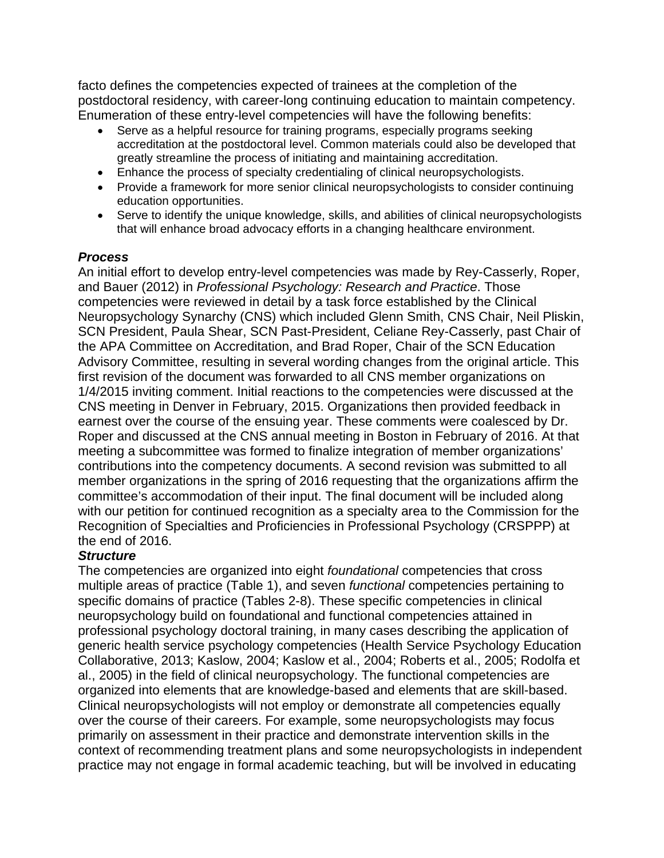facto defines the competencies expected of trainees at the completion of the postdoctoral residency, with career-long continuing education to maintain competency. Enumeration of these entry-level competencies will have the following benefits:

- Serve as a helpful resource for training programs, especially programs seeking accreditation at the postdoctoral level. Common materials could also be developed that greatly streamline the process of initiating and maintaining accreditation.
- Enhance the process of specialty credentialing of clinical neuropsychologists.
- Provide a framework for more senior clinical neuropsychologists to consider continuing education opportunities.
- Serve to identify the unique knowledge, skills, and abilities of clinical neuropsychologists that will enhance broad advocacy efforts in a changing healthcare environment.

## *Process*

An initial effort to develop entry-level competencies was made by Rey-Casserly, Roper, and Bauer (2012) in *Professional Psychology: Research and Practice*. Those competencies were reviewed in detail by a task force established by the Clinical Neuropsychology Synarchy (CNS) which included Glenn Smith, CNS Chair, Neil Pliskin, SCN President, Paula Shear, SCN Past-President, Celiane Rey-Casserly, past Chair of the APA Committee on Accreditation, and Brad Roper, Chair of the SCN Education Advisory Committee, resulting in several wording changes from the original article. This first revision of the document was forwarded to all CNS member organizations on 1/4/2015 inviting comment. Initial reactions to the competencies were discussed at the CNS meeting in Denver in February, 2015. Organizations then provided feedback in earnest over the course of the ensuing year. These comments were coalesced by Dr. Roper and discussed at the CNS annual meeting in Boston in February of 2016. At that meeting a subcommittee was formed to finalize integration of member organizations' contributions into the competency documents. A second revision was submitted to all member organizations in the spring of 2016 requesting that the organizations affirm the committee's accommodation of their input. The final document will be included along with our petition for continued recognition as a specialty area to the Commission for the Recognition of Specialties and Proficiencies in Professional Psychology (CRSPPP) at the end of 2016.

## *Structure*

The competencies are organized into eight *foundational* competencies that cross multiple areas of practice (Table 1), and seven *functional* competencies pertaining to specific domains of practice (Tables 2-8). These specific competencies in clinical neuropsychology build on foundational and functional competencies attained in professional psychology doctoral training, in many cases describing the application of generic health service psychology competencies (Health Service Psychology Education Collaborative, 2013; Kaslow, 2004; Kaslow et al., 2004; Roberts et al., 2005; Rodolfa et al., 2005) in the field of clinical neuropsychology. The functional competencies are organized into elements that are knowledge-based and elements that are skill-based. Clinical neuropsychologists will not employ or demonstrate all competencies equally over the course of their careers. For example, some neuropsychologists may focus primarily on assessment in their practice and demonstrate intervention skills in the context of recommending treatment plans and some neuropsychologists in independent practice may not engage in formal academic teaching, but will be involved in educating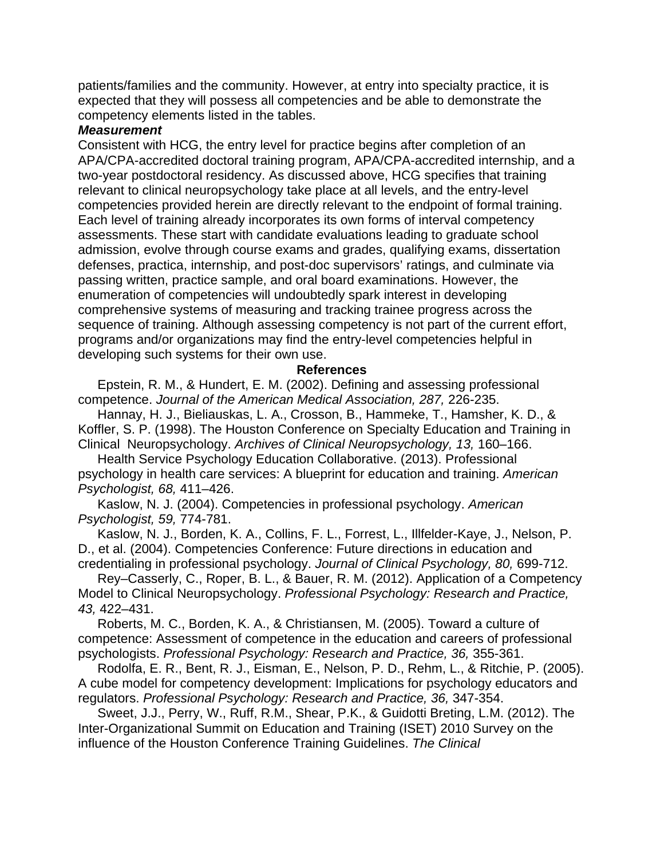patients/families and the community. However, at entry into specialty practice, it is expected that they will possess all competencies and be able to demonstrate the competency elements listed in the tables.

#### *Measurement*

Consistent with HCG, the entry level for practice begins after completion of an APA/CPA-accredited doctoral training program, APA/CPA-accredited internship, and a two-year postdoctoral residency. As discussed above, HCG specifies that training relevant to clinical neuropsychology take place at all levels, and the entry-level competencies provided herein are directly relevant to the endpoint of formal training. Each level of training already incorporates its own forms of interval competency assessments. These start with candidate evaluations leading to graduate school admission, evolve through course exams and grades, qualifying exams, dissertation defenses, practica, internship, and post-doc supervisors' ratings, and culminate via passing written, practice sample, and oral board examinations. However, the enumeration of competencies will undoubtedly spark interest in developing comprehensive systems of measuring and tracking trainee progress across the sequence of training. Although assessing competency is not part of the current effort, programs and/or organizations may find the entry-level competencies helpful in developing such systems for their own use.

#### **References**

Epstein, R. M., & Hundert, E. M. (2002). Defining and assessing professional competence. *Journal of the American Medical Association, 287,* 226-235.

Hannay, H. J., Bieliauskas, L. A., Crosson, B., Hammeke, T., Hamsher, K. D., & Koffler, S. P. (1998). The Houston Conference on Specialty Education and Training in Clinical Neuropsychology. *Archives of Clinical Neuropsychology, 13,* 160–166.

Health Service Psychology Education Collaborative. (2013). Professional psychology in health care services: A blueprint for education and training. *American Psychologist, 68,* 411–426.

Kaslow, N. J. (2004). Competencies in professional psychology. *American Psychologist, 59,* 774-781.

Kaslow, N. J., Borden, K. A., Collins, F. L., Forrest, L., Illfelder-Kaye, J., Nelson, P. D., et al. (2004). Competencies Conference: Future directions in education and credentialing in professional psychology. *Journal of Clinical Psychology, 80,* 699-712.

Rey–Casserly, C., Roper, B. L., & Bauer, R. M. (2012). Application of a Competency Model to Clinical Neuropsychology. *Professional Psychology: Research and Practice, 43,* 422–431.

Roberts, M. C., Borden, K. A., & Christiansen, M. (2005). Toward a culture of competence: Assessment of competence in the education and careers of professional psychologists. *Professional Psychology: Research and Practice, 36,* 355-361.

Rodolfa, E. R., Bent, R. J., Eisman, E., Nelson, P. D., Rehm, L., & Ritchie, P. (2005). A cube model for competency development: Implications for psychology educators and regulators. *Professional Psychology: Research and Practice, 36,* 347-354.

Sweet, J.J., Perry, W., Ruff, R.M., Shear, P.K., & Guidotti Breting, L.M. (2012). The Inter-Organizational Summit on Education and Training (ISET) 2010 Survey on the influence of the Houston Conference Training Guidelines. *The Clinical*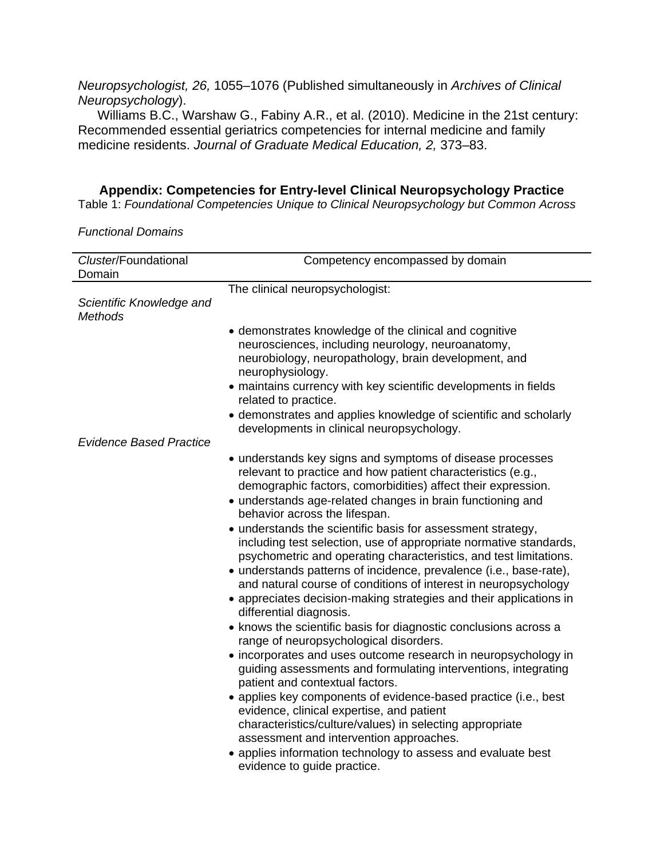*Neuropsychologist, 26,* 1055–1076 (Published simultaneously in *Archives of Clinical Neuropsychology*).

Williams B.C., Warshaw G., Fabiny A.R., et al. (2010). Medicine in the 21st century: Recommended essential geriatrics competencies for internal medicine and family medicine residents. *Journal of Graduate Medical Education, 2,* 373–83.

**Appendix: Competencies for Entry-level Clinical Neuropsychology Practice**

Table 1: *Foundational Competencies Unique to Clinical Neuropsychology but Common Across* 

*Functional Domains*

| Cluster/Foundational<br>Domain             | Competency encompassed by domain                                                                                                                                                                                                                                                                                                                                                                                                                                                                                                                                                                                                                                                                                                                                                                                                                                                                                                                                                                                                                                                                                                                                                                                                                                                                                                                      |
|--------------------------------------------|-------------------------------------------------------------------------------------------------------------------------------------------------------------------------------------------------------------------------------------------------------------------------------------------------------------------------------------------------------------------------------------------------------------------------------------------------------------------------------------------------------------------------------------------------------------------------------------------------------------------------------------------------------------------------------------------------------------------------------------------------------------------------------------------------------------------------------------------------------------------------------------------------------------------------------------------------------------------------------------------------------------------------------------------------------------------------------------------------------------------------------------------------------------------------------------------------------------------------------------------------------------------------------------------------------------------------------------------------------|
| Scientific Knowledge and<br><b>Methods</b> | The clinical neuropsychologist:                                                                                                                                                                                                                                                                                                                                                                                                                                                                                                                                                                                                                                                                                                                                                                                                                                                                                                                                                                                                                                                                                                                                                                                                                                                                                                                       |
|                                            | • demonstrates knowledge of the clinical and cognitive<br>neurosciences, including neurology, neuroanatomy,<br>neurobiology, neuropathology, brain development, and<br>neurophysiology.<br>• maintains currency with key scientific developments in fields<br>related to practice.<br>• demonstrates and applies knowledge of scientific and scholarly<br>developments in clinical neuropsychology.                                                                                                                                                                                                                                                                                                                                                                                                                                                                                                                                                                                                                                                                                                                                                                                                                                                                                                                                                   |
| <b>Evidence Based Practice</b>             |                                                                                                                                                                                                                                                                                                                                                                                                                                                                                                                                                                                                                                                                                                                                                                                                                                                                                                                                                                                                                                                                                                                                                                                                                                                                                                                                                       |
|                                            | • understands key signs and symptoms of disease processes<br>relevant to practice and how patient characteristics (e.g.,<br>demographic factors, comorbidities) affect their expression.<br>• understands age-related changes in brain functioning and<br>behavior across the lifespan.<br>• understands the scientific basis for assessment strategy,<br>including test selection, use of appropriate normative standards,<br>psychometric and operating characteristics, and test limitations.<br>• understands patterns of incidence, prevalence (i.e., base-rate),<br>and natural course of conditions of interest in neuropsychology<br>• appreciates decision-making strategies and their applications in<br>differential diagnosis.<br>• knows the scientific basis for diagnostic conclusions across a<br>range of neuropsychological disorders.<br>• incorporates and uses outcome research in neuropsychology in<br>guiding assessments and formulating interventions, integrating<br>patient and contextual factors.<br>• applies key components of evidence-based practice (i.e., best<br>evidence, clinical expertise, and patient<br>characteristics/culture/values) in selecting appropriate<br>assessment and intervention approaches.<br>• applies information technology to assess and evaluate best<br>evidence to guide practice. |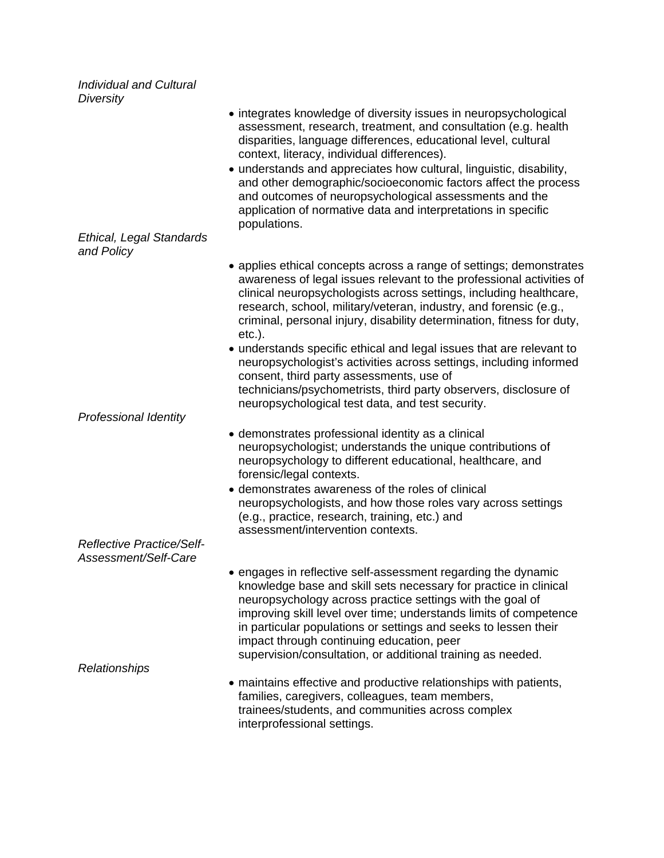| Individual and Cultural<br>Diversity                     |                                                                                                                                                                                                                                                                                                                                                                                                                                                                                                                                         |
|----------------------------------------------------------|-----------------------------------------------------------------------------------------------------------------------------------------------------------------------------------------------------------------------------------------------------------------------------------------------------------------------------------------------------------------------------------------------------------------------------------------------------------------------------------------------------------------------------------------|
|                                                          | • integrates knowledge of diversity issues in neuropsychological<br>assessment, research, treatment, and consultation (e.g. health<br>disparities, language differences, educational level, cultural<br>context, literacy, individual differences).<br>• understands and appreciates how cultural, linguistic, disability,<br>and other demographic/socioeconomic factors affect the process<br>and outcomes of neuropsychological assessments and the<br>application of normative data and interpretations in specific<br>populations. |
| Ethical, Legal Standards<br>and Policy                   |                                                                                                                                                                                                                                                                                                                                                                                                                                                                                                                                         |
|                                                          | • applies ethical concepts across a range of settings; demonstrates<br>awareness of legal issues relevant to the professional activities of<br>clinical neuropsychologists across settings, including healthcare,<br>research, school, military/veteran, industry, and forensic (e.g.,<br>criminal, personal injury, disability determination, fitness for duty,<br>$etc.$ ).<br>• understands specific ethical and legal issues that are relevant to                                                                                   |
|                                                          | neuropsychologist's activities across settings, including informed<br>consent, third party assessments, use of<br>technicians/psychometrists, third party observers, disclosure of                                                                                                                                                                                                                                                                                                                                                      |
|                                                          | neuropsychological test data, and test security.                                                                                                                                                                                                                                                                                                                                                                                                                                                                                        |
| Professional Identity                                    |                                                                                                                                                                                                                                                                                                                                                                                                                                                                                                                                         |
|                                                          | • demonstrates professional identity as a clinical<br>neuropsychologist; understands the unique contributions of<br>neuropsychology to different educational, healthcare, and<br>forensic/legal contexts.                                                                                                                                                                                                                                                                                                                               |
|                                                          | • demonstrates awareness of the roles of clinical<br>neuropsychologists, and how those roles vary across settings<br>(e.g., practice, research, training, etc.) and<br>assessment/intervention contexts.                                                                                                                                                                                                                                                                                                                                |
| <b>Reflective Practice/Self-</b><br>Assessment/Self-Care |                                                                                                                                                                                                                                                                                                                                                                                                                                                                                                                                         |
|                                                          | • engages in reflective self-assessment regarding the dynamic<br>knowledge base and skill sets necessary for practice in clinical<br>neuropsychology across practice settings with the goal of<br>improving skill level over time; understands limits of competence<br>in particular populations or settings and seeks to lessen their<br>impact through continuing education, peer<br>supervision/consultation, or additional training as needed.                                                                                      |
| Relationships                                            | • maintains effective and productive relationships with patients,<br>families, caregivers, colleagues, team members,<br>trainees/students, and communities across complex<br>interprofessional settings.                                                                                                                                                                                                                                                                                                                                |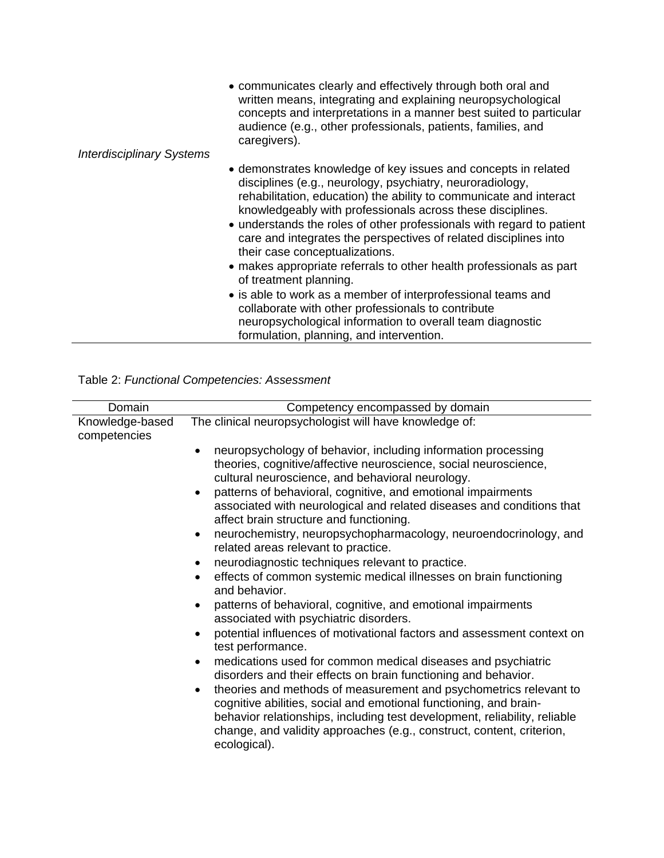| <b>Interdisciplinary Systems</b> | • communicates clearly and effectively through both oral and<br>written means, integrating and explaining neuropsychological<br>concepts and interpretations in a manner best suited to particular<br>audience (e.g., other professionals, patients, families, and<br>caregivers).                                                                                                                                                             |
|----------------------------------|------------------------------------------------------------------------------------------------------------------------------------------------------------------------------------------------------------------------------------------------------------------------------------------------------------------------------------------------------------------------------------------------------------------------------------------------|
|                                  |                                                                                                                                                                                                                                                                                                                                                                                                                                                |
|                                  | • demonstrates knowledge of key issues and concepts in related<br>disciplines (e.g., neurology, psychiatry, neuroradiology,<br>rehabilitation, education) the ability to communicate and interact<br>knowledgeably with professionals across these disciplines.<br>• understands the roles of other professionals with regard to patient<br>care and integrates the perspectives of related disciplines into<br>their case conceptualizations. |
|                                  | • makes appropriate referrals to other health professionals as part<br>of treatment planning.                                                                                                                                                                                                                                                                                                                                                  |
|                                  | • is able to work as a member of interprofessional teams and                                                                                                                                                                                                                                                                                                                                                                                   |
|                                  | collaborate with other professionals to contribute                                                                                                                                                                                                                                                                                                                                                                                             |
|                                  | neuropsychological information to overall team diagnostic<br>formulation, planning, and intervention.                                                                                                                                                                                                                                                                                                                                          |

Table 2: *Functional Competencies: Assessment*

| Domain                          | Competency encompassed by domain                                                                                                                                                                                                                                                                                                                                                                                                                                                                                                                                                             |
|---------------------------------|----------------------------------------------------------------------------------------------------------------------------------------------------------------------------------------------------------------------------------------------------------------------------------------------------------------------------------------------------------------------------------------------------------------------------------------------------------------------------------------------------------------------------------------------------------------------------------------------|
| Knowledge-based<br>competencies | The clinical neuropsychologist will have knowledge of:                                                                                                                                                                                                                                                                                                                                                                                                                                                                                                                                       |
|                                 | neuropsychology of behavior, including information processing<br>$\bullet$<br>theories, cognitive/affective neuroscience, social neuroscience,<br>cultural neuroscience, and behavioral neurology.<br>patterns of behavioral, cognitive, and emotional impairments<br>$\bullet$<br>associated with neurological and related diseases and conditions that<br>affect brain structure and functioning.<br>neurochemistry, neuropsychopharmacology, neuroendocrinology, and<br>$\bullet$<br>related areas relevant to practice.<br>neurodiagnostic techniques relevant to practice.<br>$\bullet$ |
|                                 | effects of common systemic medical illnesses on brain functioning<br>$\bullet$<br>and behavior.<br>patterns of behavioral, cognitive, and emotional impairments<br>associated with psychiatric disorders.                                                                                                                                                                                                                                                                                                                                                                                    |
|                                 | potential influences of motivational factors and assessment context on<br>test performance.                                                                                                                                                                                                                                                                                                                                                                                                                                                                                                  |
|                                 | medications used for common medical diseases and psychiatric<br>disorders and their effects on brain functioning and behavior.<br>theories and methods of measurement and psychometrics relevant to<br>$\bullet$<br>cognitive abilities, social and emotional functioning, and brain-<br>behavior relationships, including test development, reliability, reliable<br>change, and validity approaches (e.g., construct, content, criterion,<br>ecological).                                                                                                                                  |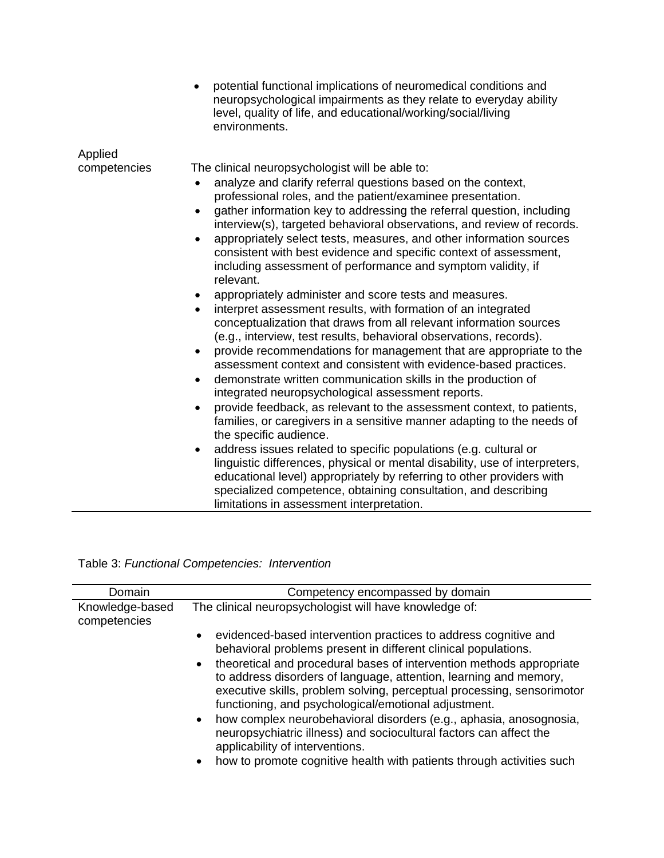|              | potential functional implications of neuromedical conditions and<br>neuropsychological impairments as they relate to everyday ability<br>level, quality of life, and educational/working/social/living<br>environments.                                                                                                                                                                                                                                                                                                                                                                                                                                                                                                                                                                                                                                                                                                                                                                                                                                                                                                                                                                                                                                                                                                                                                                                                                                                                                                                                                                                                                                                                                |
|--------------|--------------------------------------------------------------------------------------------------------------------------------------------------------------------------------------------------------------------------------------------------------------------------------------------------------------------------------------------------------------------------------------------------------------------------------------------------------------------------------------------------------------------------------------------------------------------------------------------------------------------------------------------------------------------------------------------------------------------------------------------------------------------------------------------------------------------------------------------------------------------------------------------------------------------------------------------------------------------------------------------------------------------------------------------------------------------------------------------------------------------------------------------------------------------------------------------------------------------------------------------------------------------------------------------------------------------------------------------------------------------------------------------------------------------------------------------------------------------------------------------------------------------------------------------------------------------------------------------------------------------------------------------------------------------------------------------------------|
| Applied      |                                                                                                                                                                                                                                                                                                                                                                                                                                                                                                                                                                                                                                                                                                                                                                                                                                                                                                                                                                                                                                                                                                                                                                                                                                                                                                                                                                                                                                                                                                                                                                                                                                                                                                        |
| competencies | The clinical neuropsychologist will be able to:<br>analyze and clarify referral questions based on the context,<br>professional roles, and the patient/examinee presentation.<br>gather information key to addressing the referral question, including<br>interview(s), targeted behavioral observations, and review of records.<br>appropriately select tests, measures, and other information sources<br>$\bullet$<br>consistent with best evidence and specific context of assessment,<br>including assessment of performance and symptom validity, if<br>relevant.<br>appropriately administer and score tests and measures.<br>$\bullet$<br>interpret assessment results, with formation of an integrated<br>$\bullet$<br>conceptualization that draws from all relevant information sources<br>(e.g., interview, test results, behavioral observations, records).<br>provide recommendations for management that are appropriate to the<br>$\bullet$<br>assessment context and consistent with evidence-based practices.<br>demonstrate written communication skills in the production of<br>$\bullet$<br>integrated neuropsychological assessment reports.<br>provide feedback, as relevant to the assessment context, to patients,<br>families, or caregivers in a sensitive manner adapting to the needs of<br>the specific audience.<br>address issues related to specific populations (e.g. cultural or<br>$\bullet$<br>linguistic differences, physical or mental disability, use of interpreters,<br>educational level) appropriately by referring to other providers with<br>specialized competence, obtaining consultation, and describing<br>limitations in assessment interpretation. |

Table 3: *Functional Competencies: Intervention*

| Domain                          | Competency encompassed by domain                                                                                                                                                                                                                                                                                                                                                                                                                                                                                                                                                                                                                                                                   |
|---------------------------------|----------------------------------------------------------------------------------------------------------------------------------------------------------------------------------------------------------------------------------------------------------------------------------------------------------------------------------------------------------------------------------------------------------------------------------------------------------------------------------------------------------------------------------------------------------------------------------------------------------------------------------------------------------------------------------------------------|
| Knowledge-based<br>competencies | The clinical neuropsychologist will have knowledge of:                                                                                                                                                                                                                                                                                                                                                                                                                                                                                                                                                                                                                                             |
|                                 | evidenced-based intervention practices to address cognitive and<br>$\bullet$<br>behavioral problems present in different clinical populations.<br>theoretical and procedural bases of intervention methods appropriate<br>to address disorders of language, attention, learning and memory,<br>executive skills, problem solving, perceptual processing, sensorimotor<br>functioning, and psychological/emotional adjustment.<br>how complex neurobehavioral disorders (e.g., aphasia, anosognosia,<br>$\bullet$<br>neuropsychiatric illness) and sociocultural factors can affect the<br>applicability of interventions.<br>how to promote cognitive health with patients through activities such |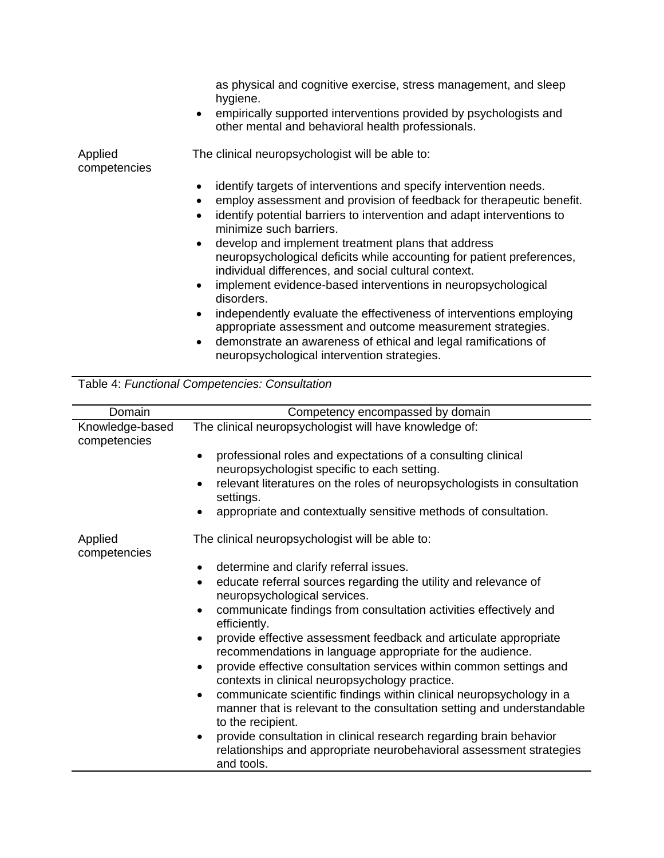|                         | as physical and cognitive exercise, stress management, and sleep<br>hygiene.<br>empirically supported interventions provided by psychologists and<br>$\bullet$<br>other mental and behavioral health professionals.                                                                                                                                                                                                                                |
|-------------------------|----------------------------------------------------------------------------------------------------------------------------------------------------------------------------------------------------------------------------------------------------------------------------------------------------------------------------------------------------------------------------------------------------------------------------------------------------|
| Applied<br>competencies | The clinical neuropsychologist will be able to:                                                                                                                                                                                                                                                                                                                                                                                                    |
|                         | identify targets of interventions and specify intervention needs.<br>employ assessment and provision of feedback for therapeutic benefit.<br>identify potential barriers to intervention and adapt interventions to<br>minimize such barriers.<br>develop and implement treatment plans that address<br>$\bullet$<br>neuropsychological deficits while accounting for patient preferences,<br>individual differences, and social cultural context. |
|                         | implement evidence-based interventions in neuropsychological<br>$\bullet$<br>disorders.                                                                                                                                                                                                                                                                                                                                                            |
|                         | independently evaluate the effectiveness of interventions employing<br>$\bullet$<br>appropriate assessment and outcome measurement strategies.                                                                                                                                                                                                                                                                                                     |
|                         | demonstrate an awareness of ethical and legal ramifications of                                                                                                                                                                                                                                                                                                                                                                                     |

neuropsychological intervention strategies.

Table 4: *Functional Competencies: Consultation*

| Domain                          | Competency encompassed by domain                                                                                                                                    |
|---------------------------------|---------------------------------------------------------------------------------------------------------------------------------------------------------------------|
| Knowledge-based<br>competencies | The clinical neuropsychologist will have knowledge of:                                                                                                              |
|                                 | professional roles and expectations of a consulting clinical<br>$\bullet$<br>neuropsychologist specific to each setting.                                            |
|                                 | relevant literatures on the roles of neuropsychologists in consultation<br>settings.                                                                                |
|                                 | appropriate and contextually sensitive methods of consultation.                                                                                                     |
| Applied<br>competencies         | The clinical neuropsychologist will be able to:                                                                                                                     |
|                                 | determine and clarify referral issues.<br>$\bullet$                                                                                                                 |
|                                 | educate referral sources regarding the utility and relevance of<br>neuropsychological services.                                                                     |
|                                 | communicate findings from consultation activities effectively and<br>efficiently.                                                                                   |
|                                 | provide effective assessment feedback and articulate appropriate<br>recommendations in language appropriate for the audience.                                       |
|                                 | provide effective consultation services within common settings and<br>contexts in clinical neuropsychology practice.                                                |
|                                 | communicate scientific findings within clinical neuropsychology in a<br>manner that is relevant to the consultation setting and understandable<br>to the recipient. |
|                                 | provide consultation in clinical research regarding brain behavior<br>relationships and appropriate neurobehavioral assessment strategies<br>and tools.             |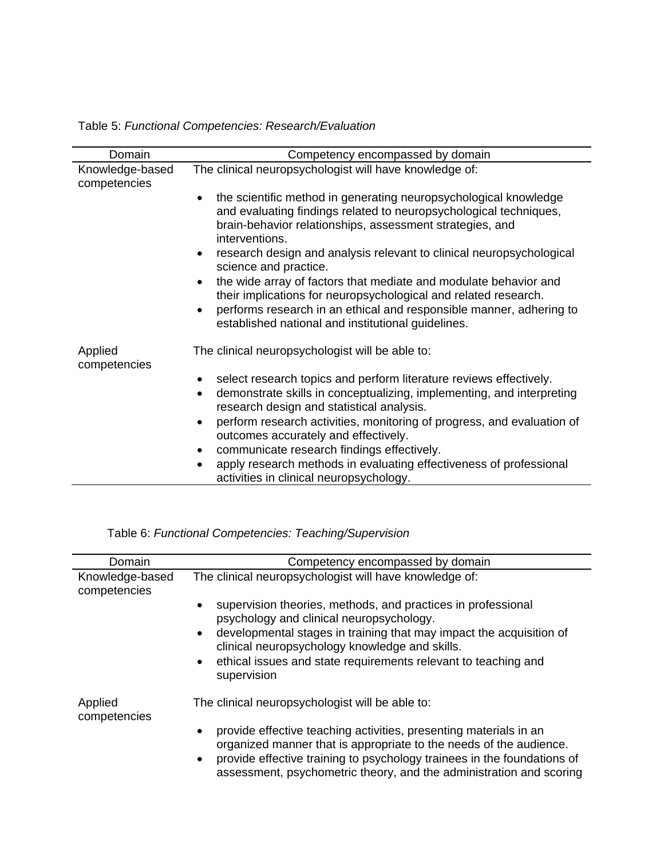| Domain                          | Competency encompassed by domain                                                                                                                                                                                                                                                                                                                                                                                                                                                                                                   |
|---------------------------------|------------------------------------------------------------------------------------------------------------------------------------------------------------------------------------------------------------------------------------------------------------------------------------------------------------------------------------------------------------------------------------------------------------------------------------------------------------------------------------------------------------------------------------|
| Knowledge-based<br>competencies | The clinical neuropsychologist will have knowledge of:                                                                                                                                                                                                                                                                                                                                                                                                                                                                             |
|                                 | the scientific method in generating neuropsychological knowledge<br>$\bullet$<br>and evaluating findings related to neuropsychological techniques,<br>brain-behavior relationships, assessment strategies, and<br>interventions.<br>research design and analysis relevant to clinical neuropsychological<br>$\bullet$<br>science and practice.                                                                                                                                                                                     |
|                                 | the wide array of factors that mediate and modulate behavior and<br>$\bullet$<br>their implications for neuropsychological and related research.<br>performs research in an ethical and responsible manner, adhering to<br>$\bullet$<br>established national and institutional guidelines.                                                                                                                                                                                                                                         |
| Applied<br>competencies         | The clinical neuropsychologist will be able to:                                                                                                                                                                                                                                                                                                                                                                                                                                                                                    |
|                                 | select research topics and perform literature reviews effectively.<br>٠<br>demonstrate skills in conceptualizing, implementing, and interpreting<br>$\bullet$<br>research design and statistical analysis.<br>perform research activities, monitoring of progress, and evaluation of<br>$\bullet$<br>outcomes accurately and effectively.<br>communicate research findings effectively.<br>$\bullet$<br>apply research methods in evaluating effectiveness of professional<br>$\bullet$<br>activities in clinical neuropsychology. |

Table 5: *Functional Competencies: Research/Evaluation*

| Domain                          | Competency encompassed by domain                         |
|---------------------------------|----------------------------------------------------------|
| Knowledge-based<br>competencies | The clinical neuropsychologist will have knowledge of:   |
|                                 | • supervision theories, methods, and practices in profes |

Table 6: *Functional Competencies: Teaching/Supervision*

| Knowledge-based<br>competencies | The clinical neuropsychologist will have knowledge of:                                                                                                                                                                                                                                                                                                    |
|---------------------------------|-----------------------------------------------------------------------------------------------------------------------------------------------------------------------------------------------------------------------------------------------------------------------------------------------------------------------------------------------------------|
|                                 | supervision theories, methods, and practices in professional<br>$\bullet$<br>psychology and clinical neuropsychology.<br>developmental stages in training that may impact the acquisition of<br>$\bullet$<br>clinical neuropsychology knowledge and skills.<br>ethical issues and state requirements relevant to teaching and<br>$\bullet$<br>supervision |
| Applied<br>competencies         | The clinical neuropsychologist will be able to:                                                                                                                                                                                                                                                                                                           |
|                                 | provide effective teaching activities, presenting materials in an<br>٠<br>organized manner that is appropriate to the needs of the audience.<br>provide effective training to psychology trainees in the foundations of<br>٠<br>assessment, psychometric theory, and the administration and scoring                                                       |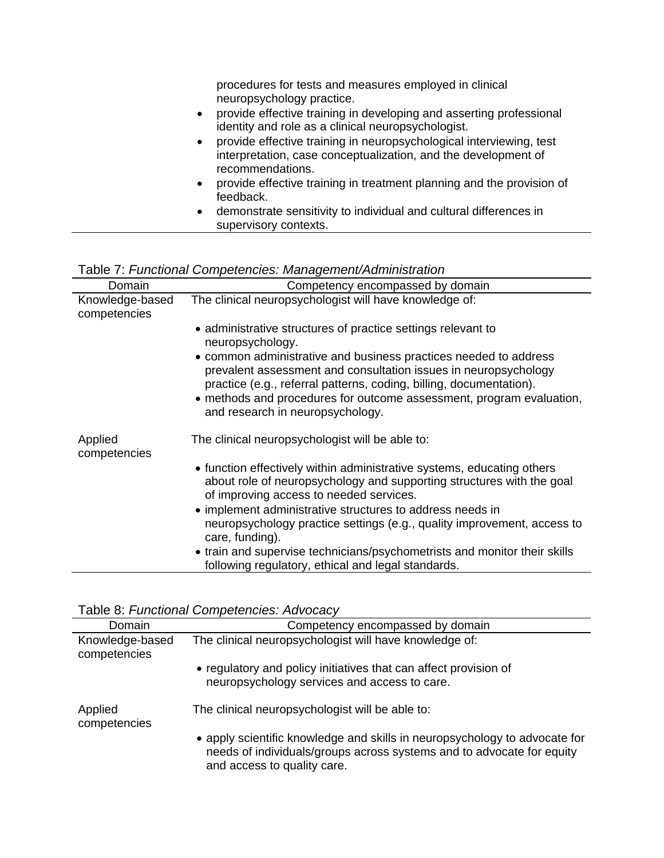procedures for tests and measures employed in clinical neuropsychology practice. • provide effective training in developing and asserting professional identity and role as a clinical neuropsychologist. • provide effective training in neuropsychological interviewing, test interpretation, case conceptualization, and the development of recommendations. • provide effective training in treatment planning and the provision of feedback. • demonstrate sensitivity to individual and cultural differences in supervisory contexts.

## Table 7: *Functional Competencies: Management/Administration*

| Domain                          | Competency encompassed by domain                                                                                                                                                                                                                                                                                                   |
|---------------------------------|------------------------------------------------------------------------------------------------------------------------------------------------------------------------------------------------------------------------------------------------------------------------------------------------------------------------------------|
| Knowledge-based<br>competencies | The clinical neuropsychologist will have knowledge of:                                                                                                                                                                                                                                                                             |
|                                 | • administrative structures of practice settings relevant to<br>neuropsychology.                                                                                                                                                                                                                                                   |
|                                 | • common administrative and business practices needed to address<br>prevalent assessment and consultation issues in neuropsychology<br>practice (e.g., referral patterns, coding, billing, documentation).<br>• methods and procedures for outcome assessment, program evaluation,<br>and research in neuropsychology.             |
| Applied<br>competencies         | The clinical neuropsychologist will be able to:                                                                                                                                                                                                                                                                                    |
|                                 | • function effectively within administrative systems, educating others<br>about role of neuropsychology and supporting structures with the goal<br>of improving access to needed services.<br>• implement administrative structures to address needs in<br>neuropsychology practice settings (e.g., quality improvement, access to |
|                                 | care, funding).<br>• train and supervise technicians/psychometrists and monitor their skills<br>following regulatory, ethical and legal standards.                                                                                                                                                                                 |

| Table 8: Functional Competencies: Advocacy |
|--------------------------------------------|
|--------------------------------------------|

| Domain                          | Competency encompassed by domain                                                                                                                                                   |
|---------------------------------|------------------------------------------------------------------------------------------------------------------------------------------------------------------------------------|
| Knowledge-based<br>competencies | The clinical neuropsychologist will have knowledge of:                                                                                                                             |
|                                 | • regulatory and policy initiatives that can affect provision of<br>neuropsychology services and access to care.                                                                   |
| Applied<br>competencies         | The clinical neuropsychologist will be able to:                                                                                                                                    |
|                                 | • apply scientific knowledge and skills in neuropsychology to advocate for<br>needs of individuals/groups across systems and to advocate for equity<br>and access to quality care. |